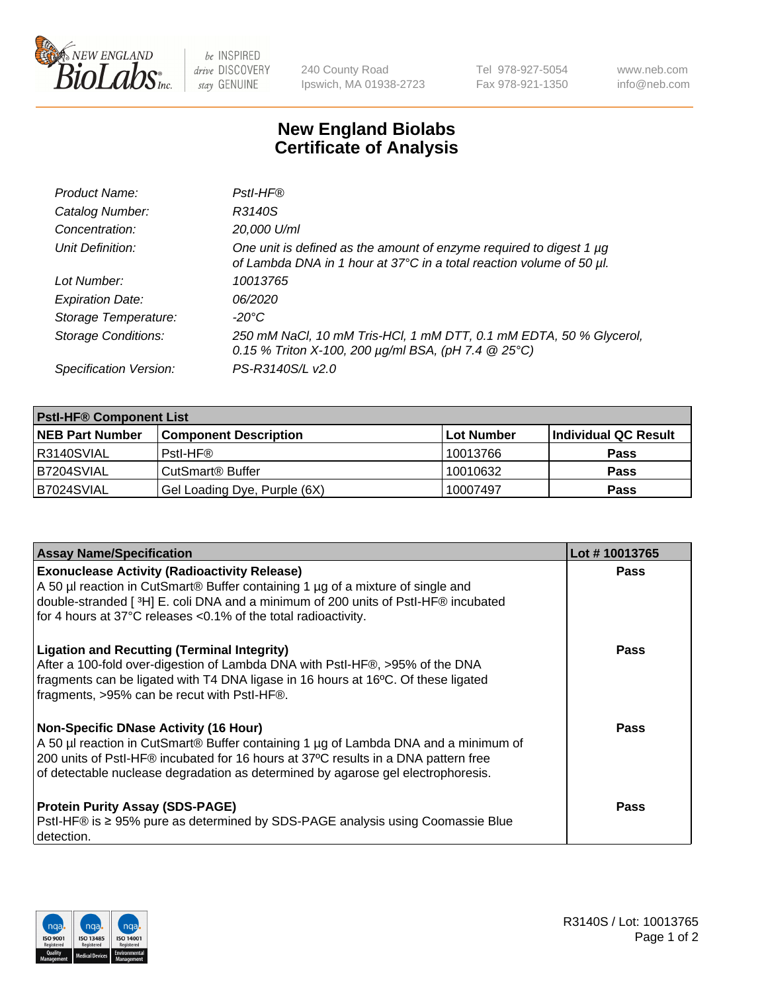

 $be$  INSPIRED drive DISCOVERY stay GENUINE

240 County Road Ipswich, MA 01938-2723 Tel 978-927-5054 Fax 978-921-1350 www.neb.com info@neb.com

## **New England Biolabs Certificate of Analysis**

| Product Name:              | Pstl-HF®                                                                                                                                             |
|----------------------------|------------------------------------------------------------------------------------------------------------------------------------------------------|
| Catalog Number:            | R3140S                                                                                                                                               |
| Concentration:             | 20,000 U/ml                                                                                                                                          |
| Unit Definition:           | One unit is defined as the amount of enzyme required to digest 1 µg<br>of Lambda DNA in 1 hour at 37°C in a total reaction volume of 50 µl.          |
| Lot Number:                | 10013765                                                                                                                                             |
| <b>Expiration Date:</b>    | 06/2020                                                                                                                                              |
| Storage Temperature:       | $-20^{\circ}$ C                                                                                                                                      |
| <b>Storage Conditions:</b> | 250 mM NaCl, 10 mM Tris-HCl, 1 mM DTT, 0.1 mM EDTA, 50 % Glycerol,<br>0.15 % Triton X-100, 200 $\mu$ g/ml BSA, (pH 7.4 $\textcircled{25}^{\circ}$ C) |
| Specification Version:     | PS-R3140S/L v2.0                                                                                                                                     |

| <b>PstI-HF® Component List</b> |                              |            |                      |  |
|--------------------------------|------------------------------|------------|----------------------|--|
| <b>NEB Part Number</b>         | <b>Component Description</b> | Lot Number | Individual QC Result |  |
| R3140SVIAL                     | Pstl-HF®                     | 10013766   | <b>Pass</b>          |  |
| <b>B7204SVIAL</b>              | CutSmart <sup>®</sup> Buffer | 10010632   | <b>Pass</b>          |  |
| B7024SVIAL                     | Gel Loading Dye, Purple (6X) | 10007497   | <b>Pass</b>          |  |

| <b>Assay Name/Specification</b>                                                                                                                                                                                                                                                                               | Lot #10013765 |
|---------------------------------------------------------------------------------------------------------------------------------------------------------------------------------------------------------------------------------------------------------------------------------------------------------------|---------------|
| <b>Exonuclease Activity (Radioactivity Release)</b><br>A 50 µl reaction in CutSmart® Buffer containing 1 µg of a mixture of single and                                                                                                                                                                        | <b>Pass</b>   |
| double-stranded [3H] E. coli DNA and a minimum of 200 units of PstI-HF® incubated<br>for 4 hours at 37°C releases <0.1% of the total radioactivity.                                                                                                                                                           |               |
| <b>Ligation and Recutting (Terminal Integrity)</b><br>After a 100-fold over-digestion of Lambda DNA with PstI-HF®, >95% of the DNA<br>fragments can be ligated with T4 DNA ligase in 16 hours at 16°C. Of these ligated<br>fragments, >95% can be recut with PstI-HF®.                                        | Pass          |
| <b>Non-Specific DNase Activity (16 Hour)</b><br>A 50 µl reaction in CutSmart® Buffer containing 1 µg of Lambda DNA and a minimum of<br>200 units of PstI-HF® incubated for 16 hours at 37°C results in a DNA pattern free<br>of detectable nuclease degradation as determined by agarose gel electrophoresis. | Pass          |
| <b>Protein Purity Assay (SDS-PAGE)</b><br>PstI-HF® is ≥ 95% pure as determined by SDS-PAGE analysis using Coomassie Blue<br>I detection.                                                                                                                                                                      | Pass          |